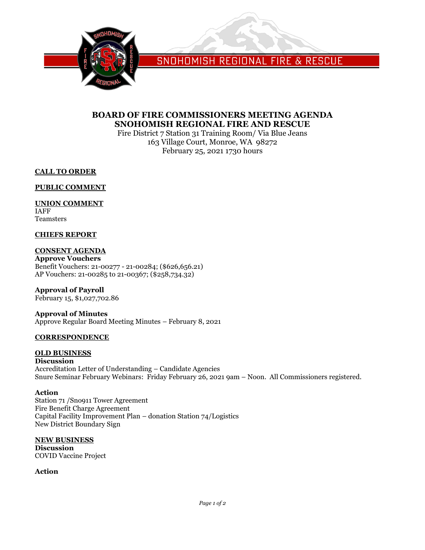

SNOHOMISH REGIONAL FIRE & RESCUE

# **BOARD OF FIRE COMMISSIONERS MEETING AGENDA SNOHOMISH REGIONAL FIRE AND RESCUE**

Fire District 7 Station 31 Training Room/ Via Blue Jeans 163 Village Court, Monroe, WA 98272 February 25, 2021 1730 hours

**CALL TO ORDER**

**PUBLIC COMMENT**

## **UNION COMMENT**

IAFF Teamsters

### **CHIEFS REPORT**

## **CONSENT AGENDA**

**Approve Vouchers** Benefit Vouchers: 21-00277 - 21-00284; (\$626,656.21) AP Vouchers: 21-00285 to 21-00367; (\$258,734.32)

## **Approval of Payroll**

February 15, \$1,027,702.86

#### **Approval of Minutes** Approve Regular Board Meeting Minutes – February 8, 2021

### **CORRESPONDENCE**

#### **OLD BUSINESS**

**Discussion** Accreditation Letter of Understanding – Candidate Agencies Snure Seminar February Webinars: Friday February 26, 2021 9am – Noon. All Commissioners registered.

#### **Action**

Station 71 /Sno911 Tower Agreement Fire Benefit Charge Agreement Capital Facility Improvement Plan – donation Station 74/Logistics New District Boundary Sign

#### **NEW BUSINESS**

**Discussion** COVID Vaccine Project

### **Action**